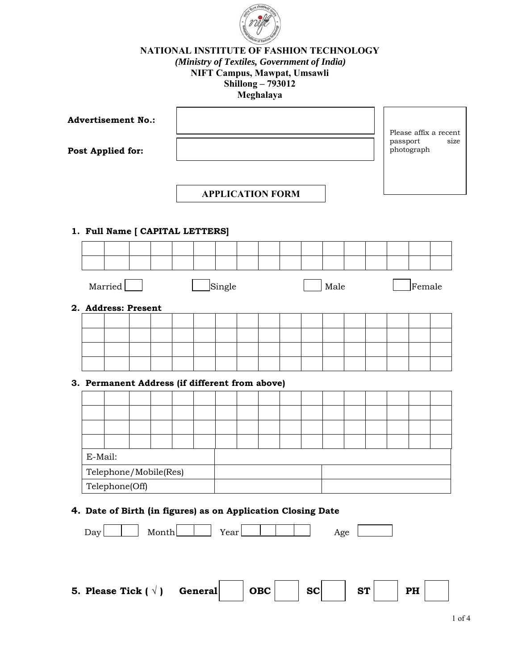

## **NATIONAL INSTITUTE OF FASHION TECHNOLOGY**  *(Ministry of Textiles, Government of India)*  **NIFT Campus, Mawpat, Umsawli Shillong – 793012 Meghalaya**

| <b>Advertisement No.:</b> |                                                              |  |       |                |        |  |                         |  |                                |      |           |  | Please affix a recent |            |  |  |
|---------------------------|--------------------------------------------------------------|--|-------|----------------|--------|--|-------------------------|--|--------------------------------|------|-----------|--|-----------------------|------------|--|--|
| <b>Post Applied for:</b>  |                                                              |  |       |                |        |  |                         |  | passport<br>size<br>photograph |      |           |  |                       |            |  |  |
|                           |                                                              |  |       |                |        |  | <b>APPLICATION FORM</b> |  |                                |      |           |  |                       |            |  |  |
|                           | 1. Full Name [ CAPITAL LETTERS]                              |  |       |                |        |  |                         |  |                                |      |           |  |                       |            |  |  |
|                           |                                                              |  |       |                |        |  |                         |  |                                |      |           |  |                       |            |  |  |
|                           | Married                                                      |  |       |                | Single |  |                         |  |                                | Male |           |  |                       | $ $ Female |  |  |
|                           | 2. Address: Present                                          |  |       |                |        |  |                         |  |                                |      |           |  |                       |            |  |  |
|                           |                                                              |  |       |                |        |  |                         |  |                                |      |           |  |                       |            |  |  |
|                           |                                                              |  |       |                |        |  |                         |  |                                |      |           |  |                       |            |  |  |
|                           |                                                              |  |       |                |        |  |                         |  |                                |      |           |  |                       |            |  |  |
|                           | 3. Permanent Address (if different from above)               |  |       |                |        |  |                         |  |                                |      |           |  |                       |            |  |  |
|                           |                                                              |  |       |                |        |  |                         |  |                                |      |           |  |                       |            |  |  |
|                           |                                                              |  |       |                |        |  |                         |  |                                |      |           |  |                       |            |  |  |
|                           |                                                              |  |       |                |        |  |                         |  |                                |      |           |  |                       |            |  |  |
| E-Mail:                   |                                                              |  |       |                |        |  |                         |  |                                |      |           |  |                       |            |  |  |
|                           | Telephone/Mobile(Res)                                        |  |       |                |        |  |                         |  |                                |      |           |  |                       |            |  |  |
|                           | Telephone(Off)                                               |  |       |                |        |  |                         |  |                                |      |           |  |                       |            |  |  |
|                           | 4. Date of Birth (in figures) as on Application Closing Date |  |       |                |        |  |                         |  |                                |      |           |  |                       |            |  |  |
| Day                       |                                                              |  | Month |                | Year   |  |                         |  |                                | Age  |           |  |                       |            |  |  |
|                           |                                                              |  |       |                |        |  |                         |  |                                |      |           |  |                       |            |  |  |
|                           | 5. Please Tick $(\sqrt)$                                     |  |       | <b>General</b> |        |  | OBC                     |  | <b>SC</b>                      |      | <b>ST</b> |  |                       | PH         |  |  |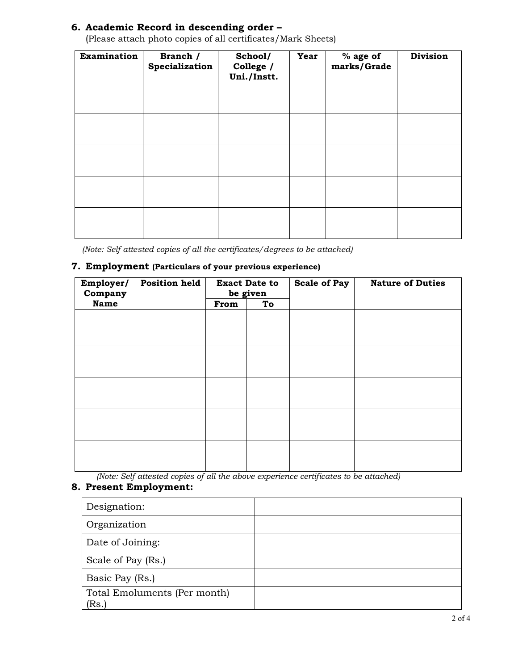### **6. Academic Record in descending order –**

| Examination | Branch /<br>Specialization | School/<br>College /<br>Uni./Instt. | Year | $%$ age of<br>marks/Grade | <b>Division</b> |
|-------------|----------------------------|-------------------------------------|------|---------------------------|-----------------|
|             |                            |                                     |      |                           |                 |
|             |                            |                                     |      |                           |                 |
|             |                            |                                     |      |                           |                 |
|             |                            |                                     |      |                           |                 |
|             |                            |                                     |      |                           |                 |

(Please attach photo copies of all certificates/Mark Sheets)

*(Note: Self attested copies of all the certificates/degrees to be attached)*

#### **7. Employment (Particulars of your previous experience)**

| Employer/<br>Company | <b>Position held</b> |      | <b>Exact Date to</b><br>be given | <b>Scale of Pay</b> | <b>Nature of Duties</b> |  |  |
|----------------------|----------------------|------|----------------------------------|---------------------|-------------------------|--|--|
| <b>Name</b>          |                      | From | To                               |                     |                         |  |  |
|                      |                      |      |                                  |                     |                         |  |  |
|                      |                      |      |                                  |                     |                         |  |  |
|                      |                      |      |                                  |                     |                         |  |  |
|                      |                      |      |                                  |                     |                         |  |  |
|                      |                      |      |                                  |                     |                         |  |  |
|                      |                      |      |                                  |                     |                         |  |  |
|                      |                      |      |                                  |                     |                         |  |  |
|                      |                      |      |                                  |                     |                         |  |  |
|                      |                      |      |                                  |                     |                         |  |  |
|                      |                      |      |                                  |                     |                         |  |  |
|                      |                      |      |                                  |                     |                         |  |  |
|                      |                      |      |                                  |                     |                         |  |  |
|                      |                      |      |                                  |                     |                         |  |  |
|                      |                      |      |                                  |                     |                         |  |  |

*(Note: Self attested copies of all the above experience certificates to be attached)*

# **8. Present Employment:**

| Designation:                          |  |
|---------------------------------------|--|
| Organization                          |  |
| Date of Joining:                      |  |
| Scale of Pay (Rs.)                    |  |
| Basic Pay (Rs.)                       |  |
| Total Emoluments (Per month)<br>(Rs.) |  |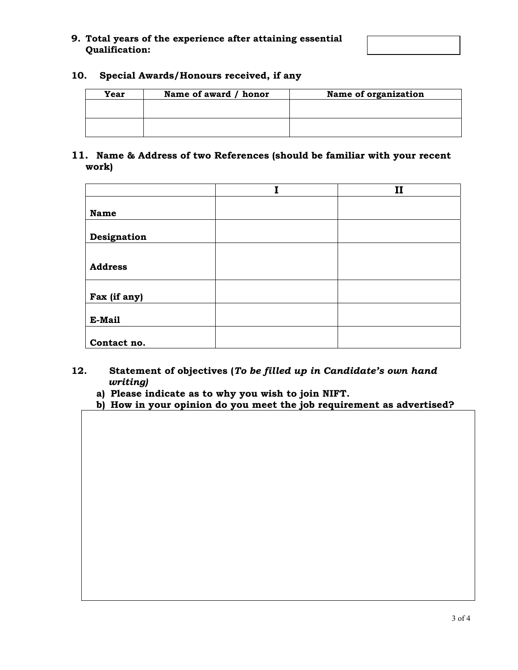| 9. Total years of the experience after attaining essential |
|------------------------------------------------------------|
| <b>Qualification:</b>                                      |



### **10. Special Awards/Honours received, if any**

| Year | Name of award / honor | Name of organization |
|------|-----------------------|----------------------|
|      |                       |                      |
|      |                       |                      |
|      |                       |                      |

### **11. Name & Address of two References (should be familiar with your recent work)**

|                | $\mathbf{I}$ |
|----------------|--------------|
|                |              |
| <b>Name</b>    |              |
|                |              |
| Designation    |              |
|                |              |
| <b>Address</b> |              |
|                |              |
|                |              |
| Fax (if any)   |              |
|                |              |
| E-Mail         |              |
|                |              |
| Contact no.    |              |

- **12. Statement of objectives (***To be filled up in Candidate's own hand*  *writing)*
	- **a) Please indicate as to why you wish to join NIFT.**
	- **b) How in your opinion do you meet the job requirement as advertised?**